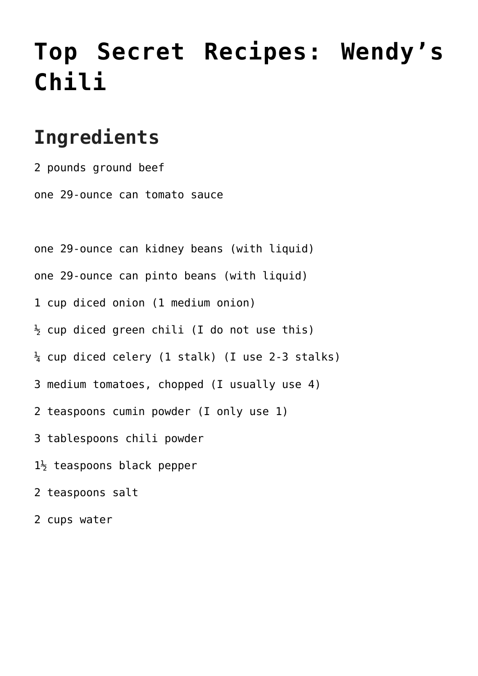## **[Top Secret Recipes: Wendy's](https://www.mamamiarecipes.com/top-secret-recipes-wendys-chili/) [Chili](https://www.mamamiarecipes.com/top-secret-recipes-wendys-chili/)**

## **Ingredients**

2 pounds ground beef one 29-ounce can tomato sauce

one 29-ounce can kidney beans (with liquid)

one 29-ounce can pinto beans (with liquid)

- 1 cup diced onion (1 medium onion)
- $\frac{1}{2}$  cup diced green chili (I do not use this)
- $\frac{1}{4}$  cup diced celery (1 stalk) (I use 2-3 stalks)
- 3 medium tomatoes, chopped (I usually use 4)
- 2 teaspoons cumin powder (I only use 1)
- 3 tablespoons chili powder
- $1\frac{1}{2}$  teaspoons black pepper
- 2 teaspoons salt
- 2 cups water